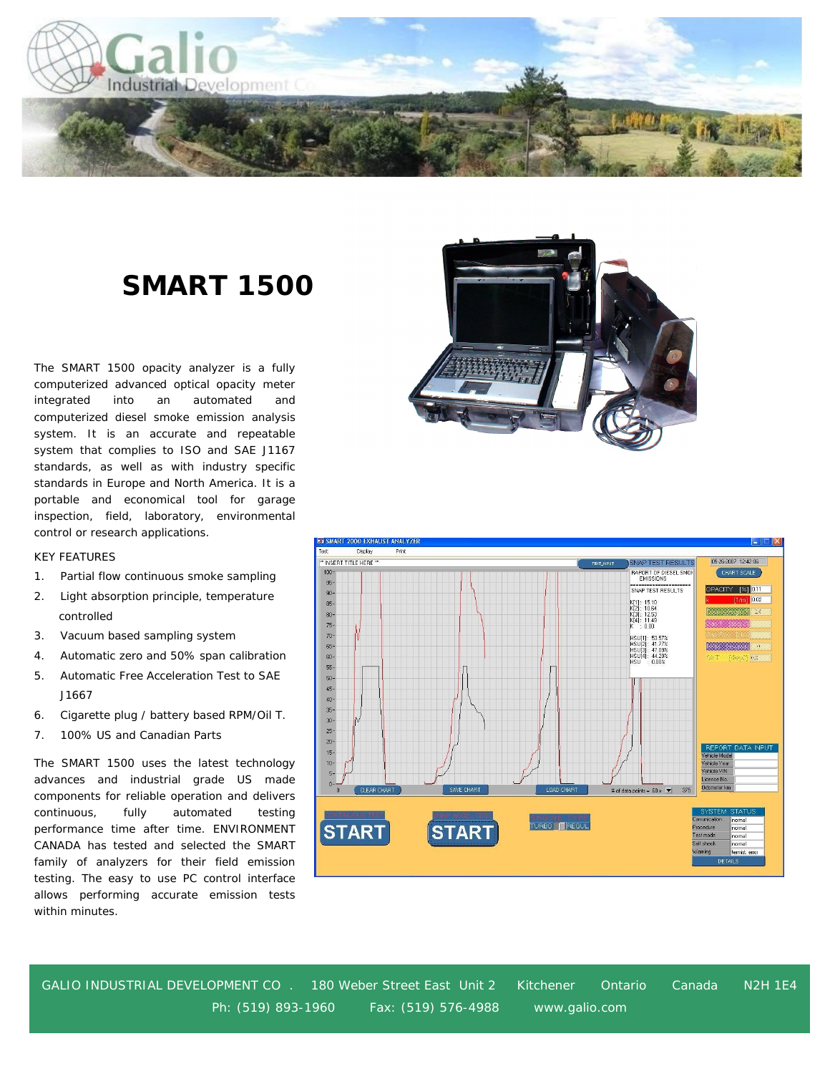

## **SMART 1500**

The SMART 1500 opacity analyzer is a fully computerized advanced optical opacity meter integrated into an automated and computerized diesel smoke emission analysis system. It is an accurate and repeatable system that complies to ISO and SAE J1167 standards, as well as with industry specific standards in Europe and North America. It is a portable and economical tool for garage inspection, field, laboratory, environmental control or research applications.

## KEY FEATURES

- 1. Partial flow continuous smoke sampling
- 2. Light absorption principle, temperature controlled
- 3. Vacuum based sampling system
- 4. Automatic zero and 50% span calibration
- 5. Automatic Free Acceleration Test to SAE 5. J1667
- 6. Cigarette plug / battery based RPM/Oil T.
- 7. 100% US and Canadian Parts

The SMART 1500 uses the latest technology advances and industrial grade US made components for reliable operation and delivers continuous, fully automated testing performance time after time. ENVIRONMENT CANADA has tested and selected the SMART family of analyzers for their field emission testing. The easy to use PC control interface allows performing accurate emission tests within minutes.





GALIO INDUSTRIAL DEVELOPMENT CO . 180 Weber Street East Unit 2 Kitchener Ontario Canada N2H 1E4 Ph: (519) 893-1960 Fax: (519) 576-4988 www.galio.com